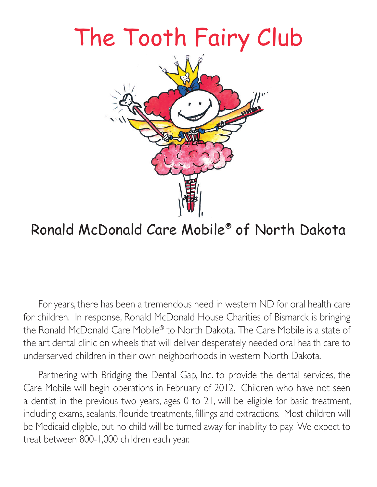

## Ronald McDonald Care Mobile® of North Dakota The Tool of The Township of The Tool of The Tool of The Tool of The Tool of The Tool of The Tool of The Tool of The Tool of The Tool of The Tool of The Tool of The Tool of The Tool of The Tool of The Tool of The Tool of Th

For years, there has been a tremendous need in western ND for oral health care for children. In response, Ronald McDonald House Charities of Bismarck is bringing the Ronald McDonald Care Mobile® to North Dakota. The Care Mobile is a state of the art dental clinic on wheels that will deliver desperately needed oral health care to underserved children in their own neighborhoods in western North Dakota.

Partnering with Bridging the Dental Gap, Inc. to provide the dental services, the Care Mobile will begin operations in February of 2012. Children who have not seen a dentist in the previous two years, ages 0 to 21, will be eligible for basic treatment, including exams, sealants, flouride treatments, fillings and extractions. Most children will be Medicaid eligible, but no child will be turned away for inability to pay. We expect to treat between 800-1,000 children each year.